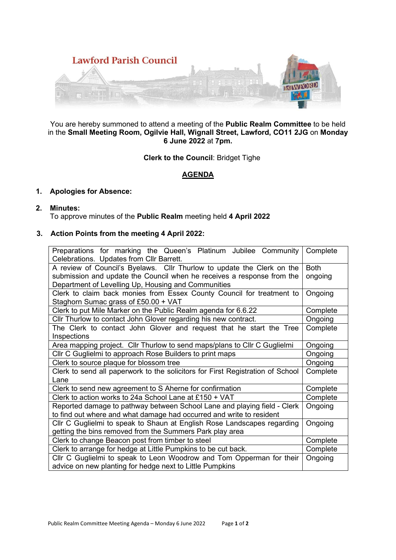

You are hereby summoned to attend a meeting of the **Public Realm Committee** to be held in the **Small Meeting Room, Ogilvie Hall, Wignall Street, Lawford, CO11 2JG** on **Monday 6 June 2022** at **7pm.** 

**Clerk to the Council**: Bridget Tighe

# **AGENDA**

## **1. Apologies for Absence:**

**2. Minutes:** 

To approve minutes of the **Public Realm** meeting held **4 April 2022**

### **3. Action Points from the meeting 4 April 2022:**

| Preparations for marking the Queen's Platinum Jubilee Community<br>Celebrations. Updates from Cllr Barrett.                                                                                             | Complete               |
|---------------------------------------------------------------------------------------------------------------------------------------------------------------------------------------------------------|------------------------|
| A review of Council's Byelaws. Cllr Thurlow to update the Clerk on the<br>submission and update the Council when he receives a response from the<br>Department of Levelling Up, Housing and Communities | <b>Both</b><br>ongoing |
| Clerk to claim back monies from Essex County Council for treatment to<br>Staghorn Sumac grass of £50.00 + VAT                                                                                           | Ongoing                |
| Clerk to put Mile Marker on the Public Realm agenda for 6.6.22                                                                                                                                          | Complete               |
| Cllr Thurlow to contact John Glover regarding his new contract.                                                                                                                                         | Ongoing                |
| The Clerk to contact John Glover and request that he start the Tree<br>Inspections                                                                                                                      | Complete               |
| Area mapping project. Cllr Thurlow to send maps/plans to Cllr C Guglielmi                                                                                                                               | Ongoing                |
| CIIr C Guglielmi to approach Rose Builders to print maps                                                                                                                                                | Ongoing                |
| Clerk to source plaque for blossom tree                                                                                                                                                                 | Ongoing                |
| Clerk to send all paperwork to the solicitors for First Registration of School<br>Lane                                                                                                                  | Complete               |
| Clerk to send new agreement to S Aherne for confirmation                                                                                                                                                | Complete               |
| Clerk to action works to 24a School Lane at £150 + VAT                                                                                                                                                  | Complete               |
| Reported damage to pathway between School Lane and playing field - Clerk<br>to find out where and what damage had occurred and write to resident                                                        | Ongoing                |
| Cllr C Guglielmi to speak to Shaun at English Rose Landscapes regarding<br>getting the bins removed from the Summers Park play area                                                                     | Ongoing                |
| Clerk to change Beacon post from timber to steel                                                                                                                                                        | Complete               |
| Clerk to arrange for hedge at Little Pumpkins to be cut back.                                                                                                                                           | Complete               |
| Cllr C Guglielmi to speak to Leon Woodrow and Tom Opperman for their<br>advice on new planting for hedge next to Little Pumpkins                                                                        | Ongoing                |